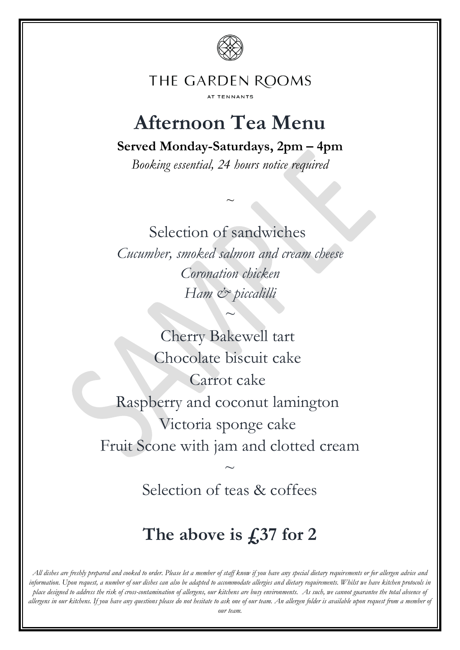

#### THE GARDEN ROOMS AT TENNANTS

# **Afternoon Tea Menu**

**Served Monday-Saturdays, 2pm – 4pm**

*Booking essential, 24 hours notice required*

*~*

Selection of sandwiches

*Cucumber, smoked salmon and cream cheese Coronation chicken Ham & piccalilli* 

*~*

Cherry Bakewell tart Chocolate biscuit cake Carrot cake Raspberry and coconut lamington Victoria sponge cake Fruit Scone with jam and clotted cream  $\sim$ 

Selection of teas & coffees

## **The above is £37 for 2**

*All dishes are freshly prepared and cooked to order. Please let a member of staff know if you have any special dietary requirements or for allergen advice and information. Upon request, a number of our dishes can also be adapted to accommodate allergies and dietary requirements. Whilst we have kitchen protocols in place designed to address the risk of cross-contamination of allergens, our kitchens are busy environments. As such, we cannot guarantee the total absence of allergens in our kitchens. If you have any questions please do not hesitate to ask one of our team. An allergen folder is available upon request from a member of our team.*